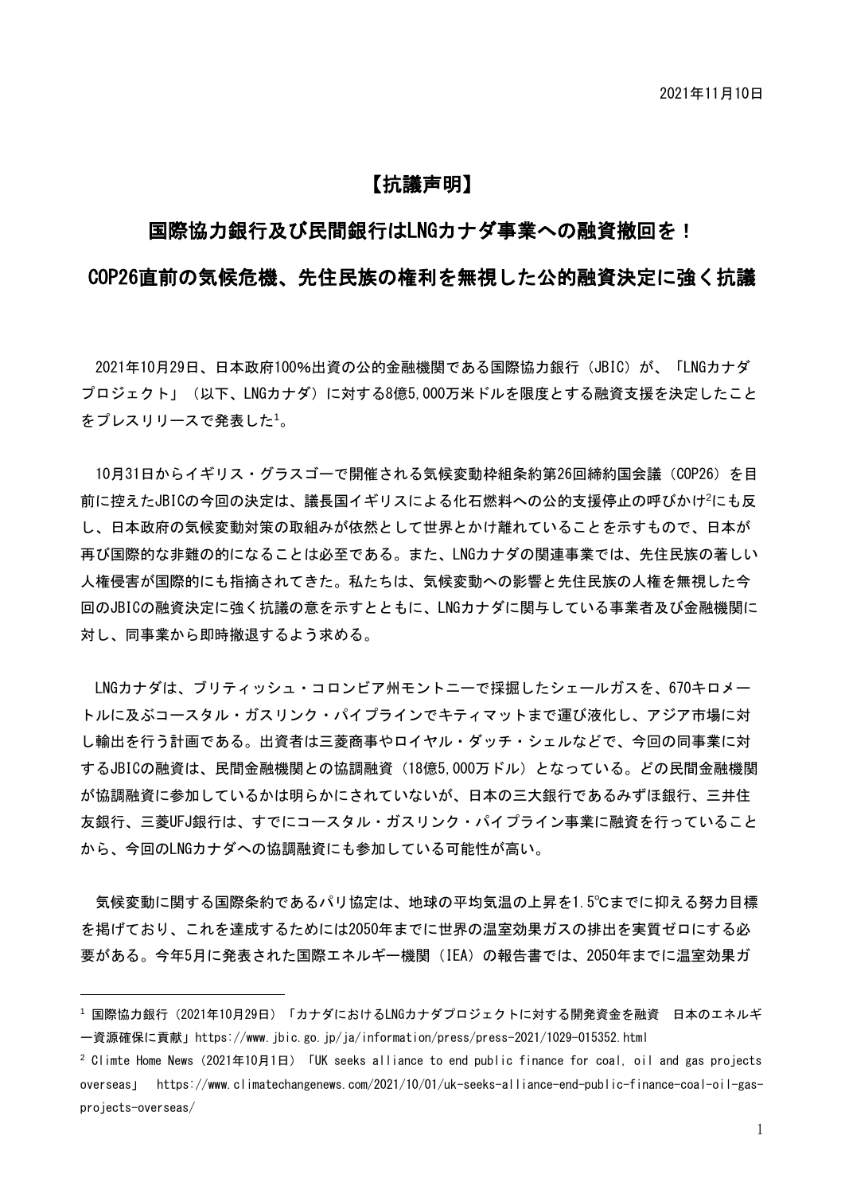# 【抗議声明】

## 国際協力銀行及び民間銀行はLNGカナダ事業への融資撤回を!

## COP26直前の気候危機、先住民族の権利を無視した公的融資決定に強く抗議

2021年10月29日、日本政府100%出資の公的金融機関である国際協力銀行 (JBIC) が、「LNGカナダ プロジェクト」(以下、LNGカナダ)に対する8億5,000万米ドルを限度とする融資支援を決定したこと をプレスリリースで発表した<sup>1</sup>。

10月31日からイギリス・グラスゴーで開催される気候変動枠組条約第26回締約国会議(COP26)を目 前に控えたJBICの今回の決定は、議長国イギリスによる化石燃料への公的支援停止の呼びかけ<sup>2</sup>にも反 し、日本政府の気候変動対策の取組みが依然として世界とかけ離れていることを示すもので、日本が 再び国際的な非難の的になることは必至である。また、LNGカナダの関連事業では、先住民族の著しい 人権侵害が国際的にも指摘されてきた。私たちは、気候変動への影響と先住民族の人権を無視した今 回のJBICの融資決定に強く抗議の意を示すとともに、LNGカナダに関与している事業者及び金融機関に 対し、同事業から即時撤退するよう求める。

LNGカナダは、ブリティッシュ・コロンビア州モントニーで採掘したシェールガスを、670キロメー トルに及ぶコースタル・ガスリンク・パイプラインでキティマットまで運び液化し、アジア市場に対 し輸出を行う計画である。出資者は三菱商事やロイヤル・ダッチ・シェルなどで、今回の同事業に対 するJBICの融資は、民間金融機関との協調融資(18億5,000万ドル)となっている。どの民間金融機関 が協調融資に参加しているかは明らかにされていないが、日本の三大銀行であるみずほ銀行、三井住 友銀行、三菱UFJ銀行は、すでにコースタル・ガスリンク・パイプライン事業に融資を行っていること から、今回のLNGカナダへの協調融資にも参加している可能性が高い。

気候変動に関する国際条約であるパリ協定は、地球の平均気温の上昇を1.5℃までに抑える努力目標 を掲げており、これを達成するためには2050年までに世界の温室効果ガスの排出を実質ゼロにする必 要がある。今年5月に発表された国際エネルギー機関(IEA)の報告書では、2050年までに温室効果ガ

-

<sup>&</sup>lt;sup>1</sup>国際協力銀行(2021年10月29日)「カナダにおけるLNGカナダプロジェクトに対する開発資金を融資 日本のエネルギ ー資源確保に貢献」https://www.jbic.go.jp/ja/information/press/press-2021/1029-015352.html

<sup>&</sup>lt;sup>2</sup> Climte Home News (2021年10月1日) 「UK seeks alliance to end public finance for coal, oil and gas projects overseas」 https://www.climatechangenews.com/2021/10/01/uk-seeks-alliance-end-public-finance-coal-oil-gasprojects-overseas/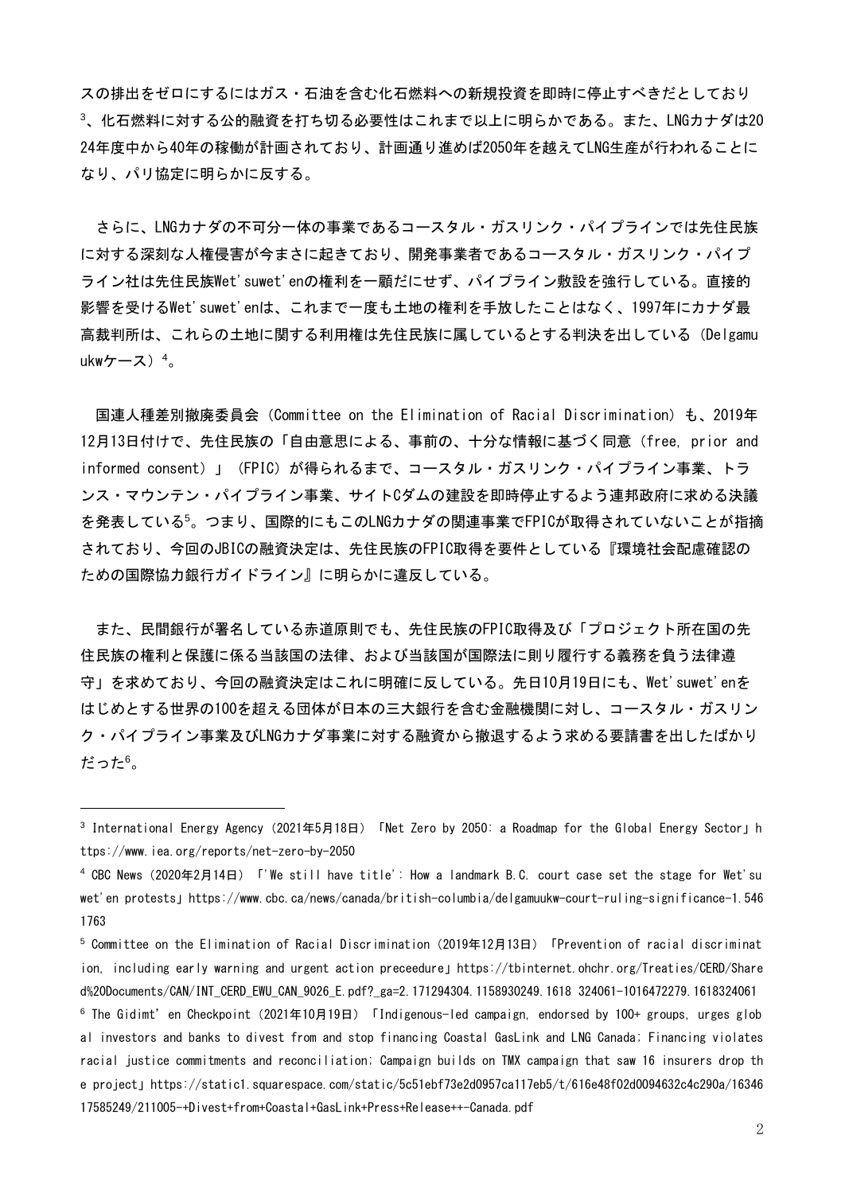スの排出をゼロにするにはガス・石油を含む化石燃料への新規投資を即時に停止すべきだとしており <sup>3</sup>、化石燃料に対する公的融資を打ち切る必要性はこれまで以上に明らかである。また、LNGカナダは20 24年度中から40年の稼働が計画されており、計画通り進めば2050年を越えてLNG生産が行われることに なり、パリ協定に明らかに反する。

さらに、LNGカナダの不可分一体の事業であるコースタル・ガスリンク・パイプラインでは先住民族 に対する深刻な人権侵害が今まさに起きており、開発事業者であるコースタル・ガスリンク・パイプ ライン社は先住民族Wet'suwet'enの権利を一顧だにせず、パイプライン敷設を強行している。直接的 影響を受けるWet'suwet'enは、これまで一度も土地の権利を手放したことはなく、1997年にカナダ最 高裁判所は、これらの土地に関する利用権は先住民族に属しているとする判決を出している(Delgamu ukwケース) $4<sub>o</sub>$ 

国連人種差別撤廃委員会(Committee on the Elimination of Racial Discrimination)も、2019年 12月13日付けで、先住民族の「自由意思による、事前の、十分な情報に基づく同意(free, prior and informed consent)」(FPIC)が得られるまで、コースタル・ガスリンク・パイプライン事業、トラ ンス・マウンテン・パイプライン事業、サイトCダムの建設を即時停止するよう連邦政府に求める決議 を発表している<sup>5</sup>。つまり、国際的にもこのLNGカナダの関連事業でFPICが取得されていないことが指摘 されており、今回のJBICの融資決定は、先住民族のFPIC取得を要件としている『環境社会配慮確認の ための国際協力銀行ガイドライン』に明らかに違反している。

また、民間銀行が署名している赤道原則でも、先住民族のFPIC取得及び「プロジェクト所在国の先 住民族の権利と保護に係る当該国の法律、および当該国が国際法に則り履行する義務を負う法律遵 守」を求めており、今回の融資決定はこれに明確に反している。先日10月19日にも、Wet'suwet'enを はじめとする世界の100を超える団体が日本の三大銀行を含む金融機関に対し、コースタル・ガスリン ク・パイプライン事業及びLNGカナダ事業に対する融資から撤退するよう求める要請書を出したばかり だった<sup>6</sup>。

-

<sup>&</sup>lt;sup>3</sup> International Energy Agency(2021年5月18日)「Net Zero by 2050: a Roadmap for the Global Energy Sector」h ttps://www.iea.org/reports/net-zero-by-2050

<sup>4</sup> CBC News(2020年2月14日)「'We still have title': How a landmark B.C. court case set the stage for Wet'su wet'en protests」https://www.cbc.ca/news/canada/british-columbia/delgamuukw-court-ruling-significance-1.546 1763

 $^5$  Committee on the Elimination of Racial Discrimination (2019年12月13日) 「Prevention of racial discriminat ion, including early warning and urgent action preceedure」https://tbinternet.ohchr.org/Treaties/CERD/Share d%20Documents/CAN/INT\_CERD\_EWU\_CAN\_9026\_E.pdf?\_ga=2.171294304.1158930249.1618 324061-1016472279.1618324061

 $^6$  The Gidimt'en Checkpoint (2021年10月19日) 「Indigenous-led campaign, endorsed by 100+ groups, urges glob al investors and banks to divest from and stop financing Coastal GasLink and LNG Canada; Financing violates racial justice commitments and reconciliation; Campaign builds on TMX campaign that saw 16 insurers drop th e project」https://static1.squarespace.com/static/5c51ebf73e2d0957ca117eb5/t/616e48f02d0094632c4c290a/16346 17585249/211005-+Divest+from+Coastal+GasLink+Press+Release++-Canada.pdf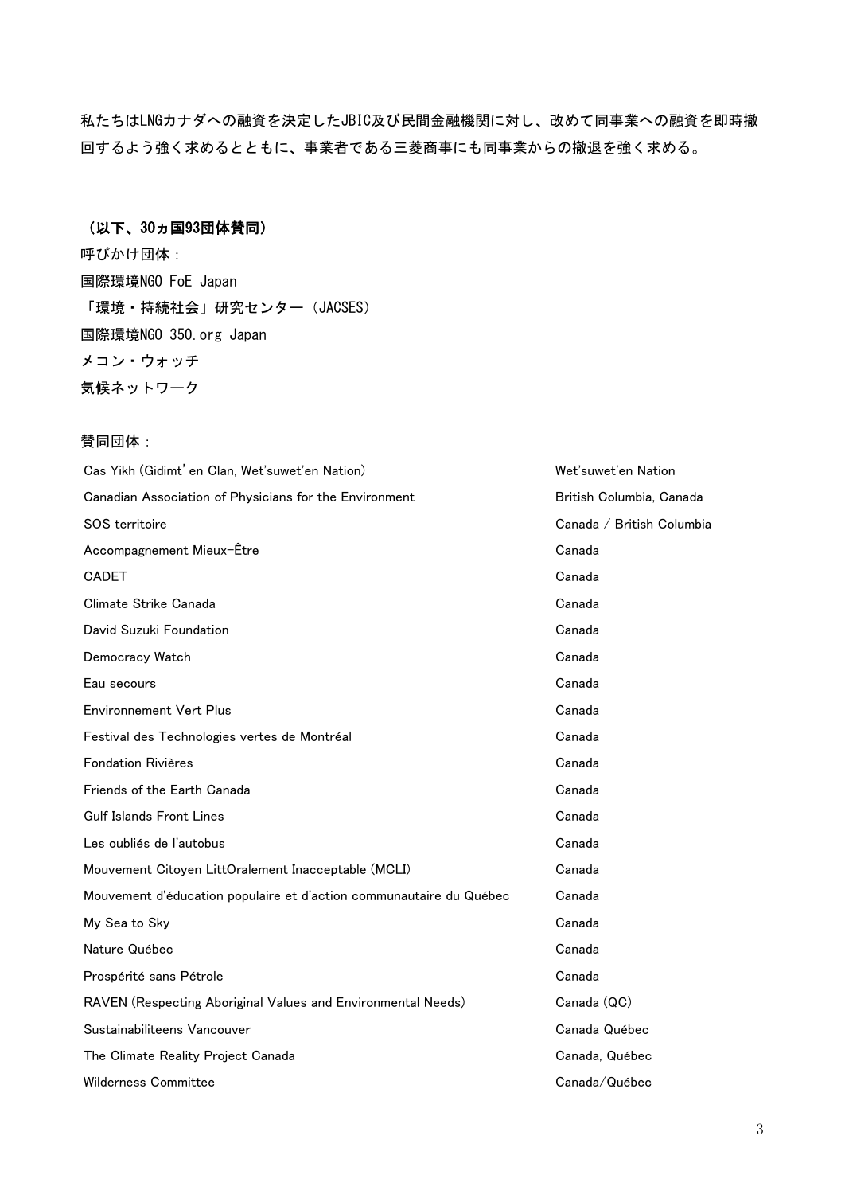私たちはLNGカナダへの融資を決定したJBIC及び民間金融機関に対し、改めて同事業への融資を即時撤 回するよう強く求めるとともに、事業者である三菱商事にも同事業からの撤退を強く求める。

### (以下、30ヵ国93団体賛同)

呼びかけ団体: 国際環境NGO FoE Japan 「環境・持続社会」研究センター(JACSES) 国際環境NGO 350.org Japan メコン・ウォッチ 気候ネットワーク

#### 賛同団体:

| Cas Yikh (Gidimt' en Clan, Wet'suwet'en Nation)                     | Wet'suwet'en Nation       |
|---------------------------------------------------------------------|---------------------------|
| Canadian Association of Physicians for the Environment              | British Columbia, Canada  |
| SOS territoire                                                      | Canada / British Columbia |
| Accompagnement Mieux-Être                                           | Canada                    |
| <b>CADET</b>                                                        | Canada                    |
| Climate Strike Canada                                               | Canada                    |
| David Suzuki Foundation                                             | Canada                    |
| Democracy Watch                                                     | Canada                    |
| Eau secours                                                         | Canada                    |
| <b>Environnement Vert Plus</b>                                      | Canada                    |
| Festival des Technologies vertes de Montréal                        | Canada                    |
| <b>Fondation Rivières</b>                                           | Canada                    |
| Friends of the Earth Canada                                         | Canada                    |
| <b>Gulf Islands Front Lines</b>                                     | Canada                    |
| Les oubliés de l'autobus                                            | Canada                    |
| Mouvement Citoyen LittOralement Inacceptable (MCLI)                 | Canada                    |
| Mouvement d'éducation populaire et d'action communautaire du Québec | Canada                    |
| My Sea to Sky                                                       | Canada                    |
| Nature Québec                                                       | Canada                    |
| Prospérité sans Pétrole                                             | Canada                    |
| RAVEN (Respecting Aboriginal Values and Environmental Needs)        | Canada (QC)               |
| Sustainabiliteens Vancouver                                         | Canada Québec             |
| The Climate Reality Project Canada                                  | Canada, Québec            |
| Wilderness Committee                                                | Canada/Québec             |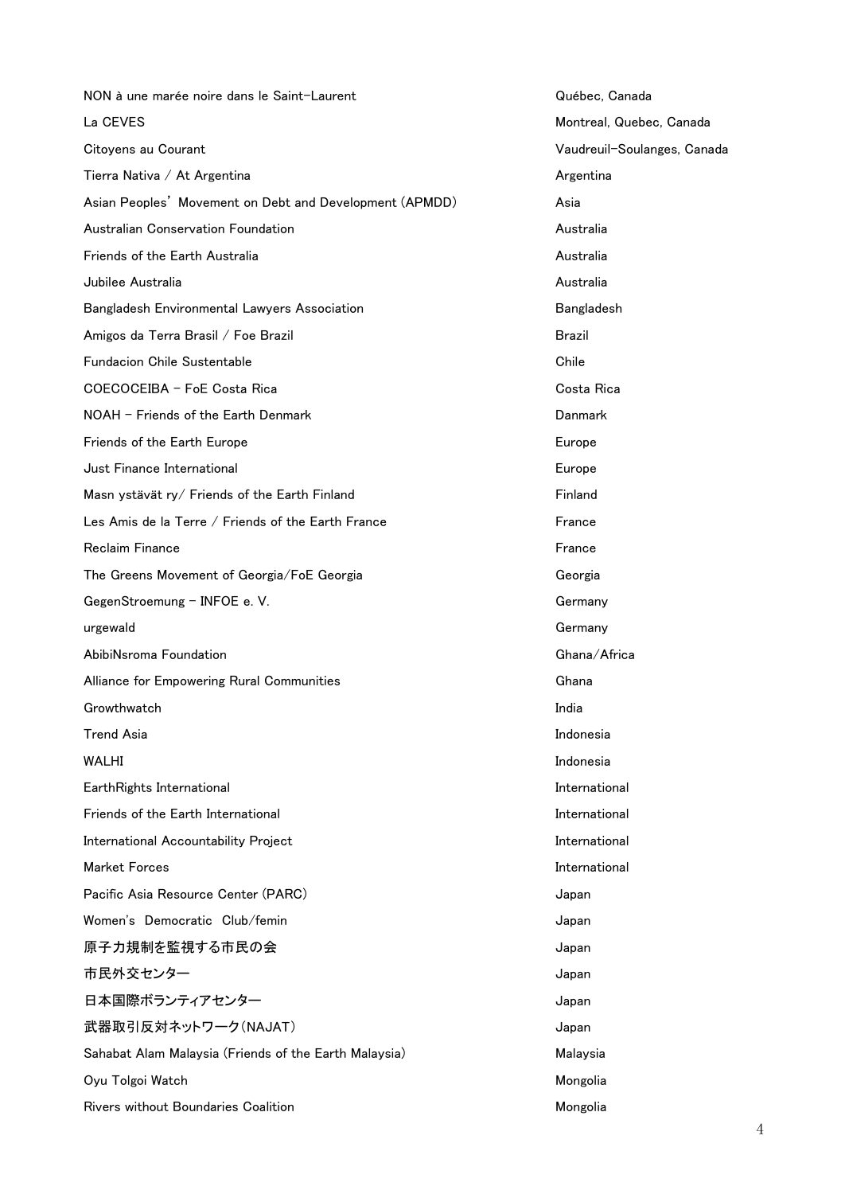NON à une marée noire dans le Saint-Laurent Québec, Canada La CEVES Montreal, Quebec, Canada Citoyens au Courant Vaudreuil-Soulanges, Canada Tierra Nativa / At Argentina Argentina Argentina Argentina Asian Peoples' Movement on Debt and Development (APMDD) Asia Australian Conservation Foundation Australia **Friends of the Earth Australia** and the Communist Communist Communist Communist Communist Communist Communist Communist Communist Communist Communist Communist Communist Communist Communist Communist Communist Communist C Jubilee Australia Australia Bangladesh Environmental Lawyers Association **Bangladesh** Bangladesh Amigos da Terra Brasil / Foe Brazil Brazil Brazil Brazil Brazil Fundacion Chile Sustentable Chile Chile Chile Chile COECOCEIBA - FoE Costa Rica Costa Rica NOAH - Friends of the Earth Denmark Danmark **Friends of the Earth Europe Europe Europe Europe Europe Europe Europe Europe Europe Europe Europe Europe Europe Just Finance International Europe 2018** Contract the United States of the Europe 2019 Current Contract of the Europe 2019 Masn ystävät ry/ Friends of the Earth Finland Finland Finland Les Amis de la Terre / Friends of the Earth France France Reclaim Finance **France** France **France** France France **France** The Greens Movement of Georgia/FoE Georgia description of Georgia GegenStroemung – INFOE e. V. Germany urgewald Germany AbibiNsroma Foundation Ghana/Africa Ghana/Africa Alliance for Empowering Rural Communities **Communities** Ghana Growthwatch **India** Trend Asia Indonesia WALHI Indonesia EarthRights International **International** International International International Friends of the Earth International and international international International International Accountability Project **International** Market Forces and the set of the set of the set of the set of the set of the set of the set of the set of the set of the set of the set of the set of the set of the set of the set of the set of the set of the set of the se Pacific Asia Resource Center (PARC) and the control of the Uapan Japan Women's Democratic Club/femin demonstration of the Uapan 原子力規制を監視する市民の会 Japan 市民外交センター オンファイル Superior アクセンター しょうしゅうしょう Japan 日本国際ボランティアセンター マンファイン インファイン Japan 武器取引反対ネットワーク(NAJAT) またはない readed to a state of the state of the state of the state of the state of the state o Sahabat Alam Malaysia (Friends of the Earth Malaysia) Malaysia Oyu Tolgoi Watch Mongolia Rivers without Boundaries Coalition Mongolia and Mongolia